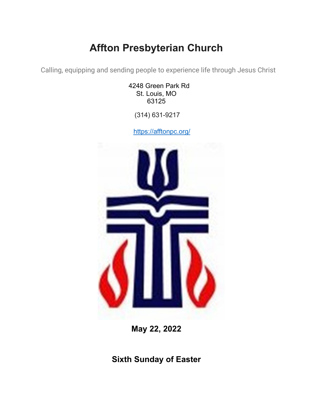# **Affton Presbyterian Church**

Calling, equipping and sending people to experience life through Jesus Christ

4248 Green Park Rd St. Louis, MO 63125

(314) 631-9217

<https://afftonpc.org/>



**May 22, 2022**

**Sixth Sunday of Easter**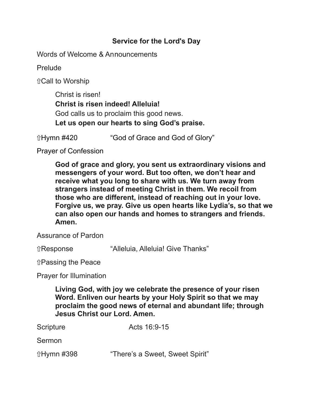# **Service for the Lord's Day**

Words of Welcome & Announcements

Prelude

⇧Call to Worship

Christ is risen! **Christ is risen indeed! Alleluia!** God calls us to proclaim this good news. **Let us open our hearts to sing God's praise.**

ûHymn #420 "God of Grace and God of Glory"

Prayer of Confession

**God of grace and glory, you sent us extraordinary visions and messengers of your word. But too often, we don't hear and receive what you long to share with us. We turn away from strangers instead of meeting Christ in them. We recoil from those who are different, instead of reaching out in your love. Forgive us, we pray. Give us open hearts like Lydia's, so that we can also open our hands and homes to strangers and friends. Amen.**

Assurance of Pardon

⇧Response "Alleluia, Alleluia! Give Thanks"

⇧Passing the Peace

Prayer for Illumination

**Living God, with joy we celebrate the presence of your risen Word. Enliven our hearts by your Holy Spirit so that we may proclaim the good news of eternal and abundant life; through Jesus Christ our Lord. Amen.**

Scripture Acts 16:9-15

Sermon

ûHymn #398 "There's a Sweet, Sweet Spirit"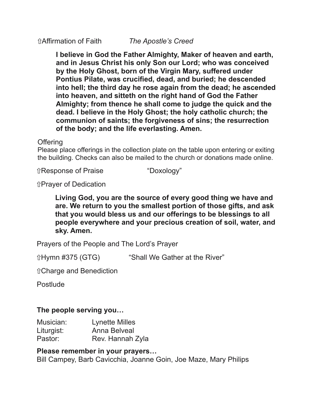**I believe in God the Father Almighty, Maker of heaven and earth, and in Jesus Christ his only Son our Lord; who was conceived by the Holy Ghost, born of the Virgin Mary, suffered under Pontius Pilate, was crucified, dead, and buried; he descended into hell; the third day he rose again from the dead; he ascended into heaven, and sitteth on the right hand of God the Father Almighty; from thence he shall come to judge the quick and the dead. I believe in the Holy Ghost; the holy catholic church; the communion of saints; the forgiveness of sins; the resurrection of the body; and the life everlasting. Amen.**

#### **Offering**

Please place offerings in the collection plate on the table upon entering or exiting the building. Checks can also be mailed to the church or donations made online.

⇧Response of Praise "Doxology"

⇧Prayer of Dedication

#### **Living God, you are the source of every good thing we have and are. We return to you the smallest portion of those gifts, and ask that you would bless us and our offerings to be blessings to all people everywhere and your precious creation of soil, water, and sky. Amen.**

Prayers of the People and The Lord's Prayer

ûHymn #375 (GTG) "Shall We Gather at the River"

⇧Charge and Benediction

Postlude

# **The people serving you…**

| Musician:  | <b>Lynette Milles</b> |
|------------|-----------------------|
| Liturgist: | Anna Belveal          |
| Pastor:    | Rev. Hannah Zyla      |

# **Please remember in your prayers…**

Bill Campey, Barb Cavicchia, Joanne Goin, Joe Maze, Mary Philips